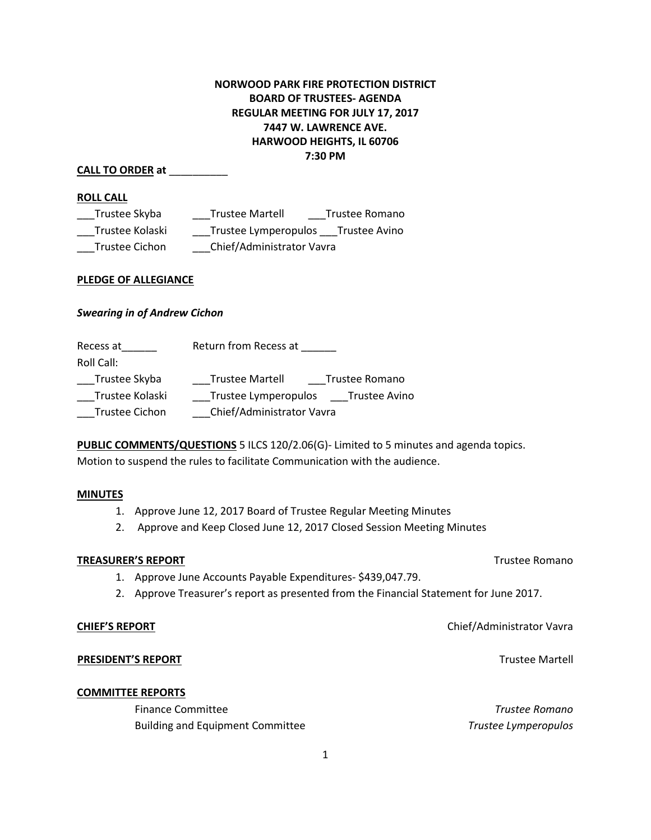# **NORWOOD PARK FIRE PROTECTION DISTRICT BOARD OF TRUSTEES- AGENDA REGULAR MEETING FOR JULY 17, 2017 7447 W. LAWRENCE AVE. HARWOOD HEIGHTS, IL 60706 7:30 PM**

# **CALL TO ORDER at** \_\_\_\_\_\_\_\_\_\_

### **ROLL CALL**

| Trustee Skyba   | <b>Trustee Martell</b>    | Trustee Romano |
|-----------------|---------------------------|----------------|
| Trustee Kolaski | Trustee Lymperopulos      | Trustee Avino  |
| Trustee Cichon  | Chief/Administrator Vavra |                |

### **PLEDGE OF ALLEGIANCE**

# *Swearing in of Andrew Cichon*

| Recess at             | Return from Recess at     |                      |
|-----------------------|---------------------------|----------------------|
| Roll Call:            |                           |                      |
| Trustee Skyba         | <b>Trustee Martell</b>    | Trustee Romano       |
| Trustee Kolaski       | Trustee Lymperopulos      | <b>Trustee Avino</b> |
| <b>Trustee Cichon</b> | Chief/Administrator Vavra |                      |

**PUBLIC COMMENTS/QUESTIONS** 5 ILCS 120/2.06(G)- Limited to 5 minutes and agenda topics. Motion to suspend the rules to facilitate Communication with the audience.

### **MINUTES**

- 1. Approve June 12, 2017 Board of Trustee Regular Meeting Minutes
- 2. Approve and Keep Closed June 12, 2017 Closed Session Meeting Minutes

### **TREASURER'S REPORT** TREASURER'S REPORT

- 1. Approve June Accounts Payable Expenditures- \$439,047.79.
- 2. Approve Treasurer's report as presented from the Financial Statement for June 2017.

# **PRESIDENT'S REPORT** THE RESIDENT'S REPORT

### **COMMITTEE REPORTS**

Finance Committee *Trustee Romano* Building and Equipment Committee *Trustee Lymperopulos*

**CHIEF'S REPORT** Chief/Administrator Vavra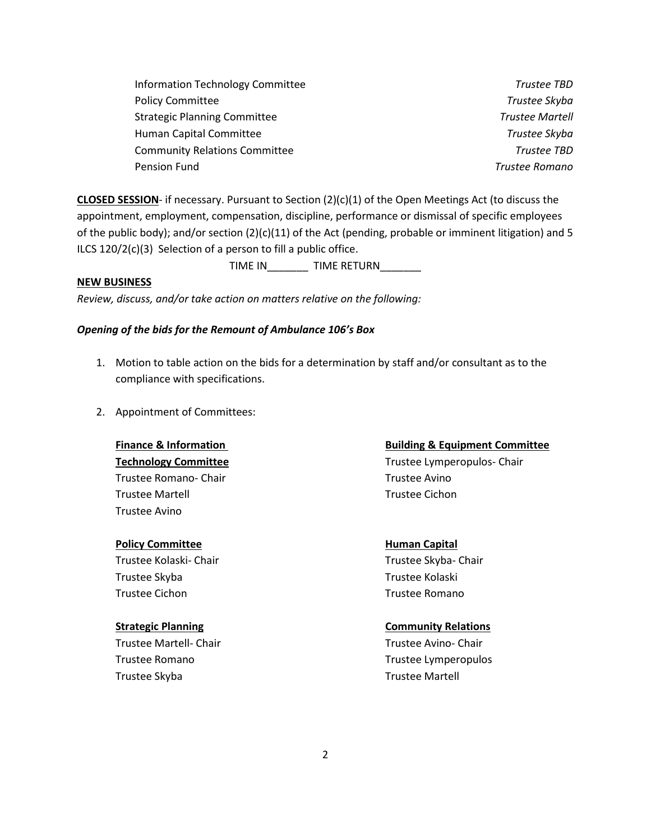| <b>Information Technology Committee</b> | Trustee TBD            |
|-----------------------------------------|------------------------|
| <b>Policy Committee</b>                 | Trustee Skyba          |
| <b>Strategic Planning Committee</b>     | <b>Trustee Martell</b> |
| Human Capital Committee                 | Trustee Skyba          |
| <b>Community Relations Committee</b>    | <b>Trustee TBD</b>     |
| Pension Fund                            | Trustee Romano         |

**CLOSED SESSION**- if necessary. Pursuant to Section (2)(c)(1) of the Open Meetings Act (to discuss the appointment, employment, compensation, discipline, performance or dismissal of specific employees of the public body); and/or section (2)(c)(11) of the Act (pending, probable or imminent litigation) and 5 ILCS 120/2(c)(3) Selection of a person to fill a public office.

TIME IN TIME RETURN

# **NEW BUSINESS**

*Review, discuss, and/or take action on matters relative on the following:*

# *Opening of the bids for the Remount of Ambulance 106's Box*

- 1. Motion to table action on the bids for a determination by staff and/or consultant as to the compliance with specifications.
- 2. Appointment of Committees:

Trustee Romano- Chair **Trustee Avino** Trustee Martell Trustee Cichon Trustee Avino

# **Policy Committee Human Capital**

Trustee Skyba Trustee Kolaski Trustee Cichon Trustee Romano

Trustee Martell- Chair **Trustee Avino- Chair** Trustee Avino- Chair Trustee Skyba Trustee Martell

### **Finance & Information Committee Committee Committee Committee Committee Committee Committee Committee Committee**

**Technology Committee** Trustee Lymperopulos- Chair

Trustee Kolaski- Chair Trustee Skyba- Chair

### **Strategic Planning Community Relations**

Trustee Romano Trustee Lymperopulos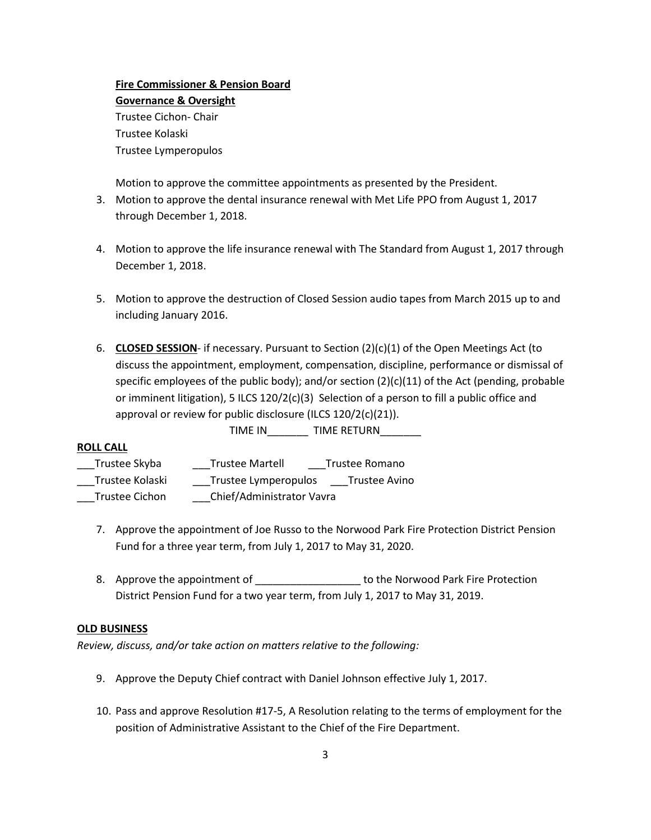# **Fire Commissioner & Pension Board Governance & Oversight**  Trustee Cichon- Chair Trustee Kolaski

Trustee Lymperopulos

Motion to approve the committee appointments as presented by the President.

- 3. Motion to approve the dental insurance renewal with Met Life PPO from August 1, 2017 through December 1, 2018.
- 4. Motion to approve the life insurance renewal with The Standard from August 1, 2017 through December 1, 2018.
- 5. Motion to approve the destruction of Closed Session audio tapes from March 2015 up to and including January 2016.
- 6. **CLOSED SESSION** if necessary. Pursuant to Section (2)(c)(1) of the Open Meetings Act (to discuss the appointment, employment, compensation, discipline, performance or dismissal of specific employees of the public body); and/or section  $(2)(c)(11)$  of the Act (pending, probable or imminent litigation), 5 ILCS  $120/2(c)(3)$  Selection of a person to fill a public office and approval or review for public disclosure (ILCS 120/2(c)(21)).

TIME IN TIME RETURN

# **ROLL CALL**

- \_\_\_Trustee Skyba \_\_\_Trustee Martell \_\_\_Trustee Romano
- \_\_\_Trustee Kolaski \_\_\_Trustee Lymperopulos \_\_\_Trustee Avino
- \_\_\_Trustee Cichon \_\_\_Chief/Administrator Vavra
	- 7. Approve the appointment of Joe Russo to the Norwood Park Fire Protection District Pension Fund for a three year term, from July 1, 2017 to May 31, 2020.
	- 8. Approve the appointment of the Norwood Park Fire Protection District Pension Fund for a two year term, from July 1, 2017 to May 31, 2019.

# **OLD BUSINESS**

*Review, discuss, and/or take action on matters relative to the following:*

- 9. Approve the Deputy Chief contract with Daniel Johnson effective July 1, 2017.
- 10. Pass and approve Resolution #17-5, A Resolution relating to the terms of employment for the position of Administrative Assistant to the Chief of the Fire Department.